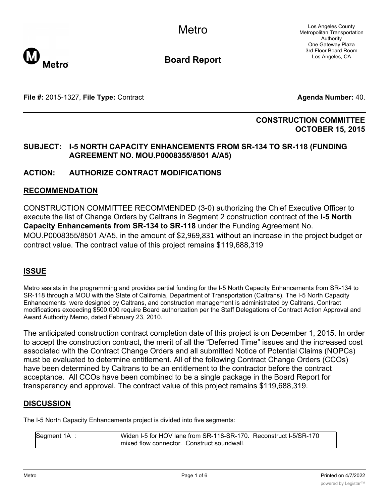Los Angeles County Metropolitan Transportation Authority One Gateway Plaza 3rd Floor Board Room Los Angeles, CA



**Board Report**

**File #:** 2015-1327, File Type: Contract **Agents Agenda Number:** 40.

# **CONSTRUCTION COMMITTEE OCTOBER 15, 2015**

# **SUBJECT: I-5 NORTH CAPACITY ENHANCEMENTS FROM SR-134 TO SR-118 (FUNDING AGREEMENT NO. MOU.P0008355/8501 A/A5)**

# **ACTION: AUTHORIZE CONTRACT MODIFICATIONS**

#### **RECOMMENDATION**

CONSTRUCTION COMMITTEE RECOMMENDED (3-0) authorizing the Chief Executive Officer to execute the list of Change Orders by Caltrans in Segment 2 construction contract of the **I-5 North Capacity Enhancements from SR-134 to SR-118** under the Funding Agreement No. MOU.P0008355/8501 A/A5, in the amount of \$2,969,831 without an increase in the project budget or contract value. The contract value of this project remains \$119,688,319

# **ISSUE**

Metro assists in the programming and provides partial funding for the I-5 North Capacity Enhancements from SR-134 to SR-118 through a MOU with the State of California, Department of Transportation (Caltrans). The I-5 North Capacity Enhancements were designed by Caltrans, and construction management is administrated by Caltrans. Contract modifications exceeding \$500,000 require Board authorization per the Staff Delegations of Contract Action Approval and Award Authority Memo, dated February 23, 2010.

The anticipated construction contract completion date of this project is on December 1, 2015. In order to accept the construction contract, the merit of all the "Deferred Time" issues and the increased cost associated with the Contract Change Orders and all submitted Notice of Potential Claims (NOPCs) must be evaluated to determine entitlement. All of the following Contract Change Orders (CCOs) have been determined by Caltrans to be an entitlement to the contractor before the contract acceptance. All CCOs have been combined to be a single package in the Board Report for transparency and approval. The contract value of this project remains \$119,688,319.

# **DISCUSSION**

The I-5 North Capacity Enhancements project is divided into five segments:

Segment 1A : Widen I-5 for HOV lane from SR-118-SR-170. Reconstruct I-5/SR-170 mixed flow connector. Construct soundwall.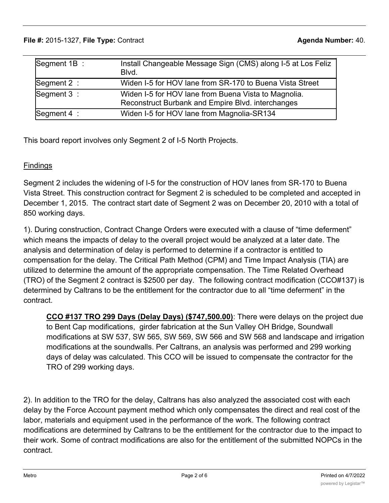#### **File #:** 2015-1327, **File Type:** Contract **Agenda Number:** 40.  $S_{\rm eff}$  : Widen I-5 for Hov lane from SR-118-SR-170. Reconstruction  $S_{\rm eff}$

| Segment 1B :  | Install Changeable Message Sign (CMS) along I-5 at Los Feliz<br>Blvd.                                     |
|---------------|-----------------------------------------------------------------------------------------------------------|
| Segment 2 :   | Widen I-5 for HOV lane from SR-170 to Buena Vista Street                                                  |
| Segment 3 :   | Widen I-5 for HOV lane from Buena Vista to Magnolia.<br>Reconstruct Burbank and Empire Blvd. interchanges |
| Segment $4$ : | Widen I-5 for HOV lane from Magnolia-SR134                                                                |

This board report involves only Segment 2 of I-5 North Projects.

# **Findings**

Segment 2 includes the widening of I-5 for the construction of HOV lanes from SR-170 to Buena Vista Street. This construction contract for Segment 2 is scheduled to be completed and accepted in December 1, 2015. The contract start date of Segment 2 was on December 20, 2010 with a total of 850 working days.

1). During construction, Contract Change Orders were executed with a clause of "time deferment" which means the impacts of delay to the overall project would be analyzed at a later date. The analysis and determination of delay is performed to determine if a contractor is entitled to compensation for the delay. The Critical Path Method (CPM) and Time Impact Analysis (TIA) are utilized to determine the amount of the appropriate compensation. The Time Related Overhead (TRO) of the Segment 2 contract is \$2500 per day. The following contract modification (CCO#137) is determined by Caltrans to be the entitlement for the contractor due to all "time deferment" in the contract.

**CCO #137 TRO 299 Days (Delay Days) (\$747,500.00)**: There were delays on the project due to Bent Cap modifications, girder fabrication at the Sun Valley OH Bridge, Soundwall modifications at SW 537, SW 565, SW 569, SW 566 and SW 568 and landscape and irrigation modifications at the soundwalls. Per Caltrans, an analysis was performed and 299 working days of delay was calculated. This CCO will be issued to compensate the contractor for the TRO of 299 working days.

2). In addition to the TRO for the delay, Caltrans has also analyzed the associated cost with each delay by the Force Account payment method which only compensates the direct and real cost of the labor, materials and equipment used in the performance of the work. The following contract modifications are determined by Caltrans to be the entitlement for the contractor due to the impact to their work. Some of contract modifications are also for the entitlement of the submitted NOPCs in the contract.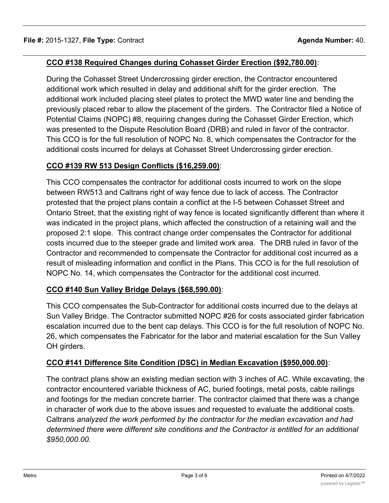# **CCO #138 Required Changes during Cohasset Girder Erection (\$92,780.00)**:

During the Cohasset Street Undercrossing girder erection, the Contractor encountered additional work which resulted in delay and additional shift for the girder erection. The additional work included placing steel plates to protect the MWD water line and bending the previously placed rebar to allow the placement of the girders. The Contractor filed a Notice of Potential Claims (NOPC) #8, requiring changes during the Cohasset Girder Erection, which was presented to the Dispute Resolution Board (DRB) and ruled in favor of the contractor. This CCO is for the full resolution of NOPC No. 8, which compensates the Contractor for the additional costs incurred for delays at Cohasset Street Undercrossing girder erection.

# **CCO #139 RW 513 Design Conflicts (\$16,259.00)**:

This CCO compensates the contractor for additional costs incurred to work on the slope between RW513 and Caltrans right of way fence due to lack of access. The Contractor protested that the project plans contain a conflict at the I-5 between Cohasset Street and Ontario Street, that the existing right of way fence is located significantly different than where it was indicated in the project plans, which affected the construction of a retaining wall and the proposed 2:1 slope. This contract change order compensates the Contractor for additional costs incurred due to the steeper grade and limited work area. The DRB ruled in favor of the Contractor and recommended to compensate the Contractor for additional cost incurred as a result of misleading information and conflict in the Plans. This CCO is for the full resolution of NOPC No. 14, which compensates the Contractor for the additional cost incurred.

# **CCO #140 Sun Valley Bridge Delays (\$68,590.00)**:

This CCO compensates the Sub-Contractor for additional costs incurred due to the delays at Sun Valley Bridge. The Contractor submitted NOPC #26 for costs associated girder fabrication escalation incurred due to the bent cap delays. This CCO is for the full resolution of NOPC No. 26, which compensates the Fabricator for the labor and material escalation for the Sun Valley OH girders.

# **CCO #141 Difference Site Condition (DSC) in Median Excavation (\$950,000.00)**:

The contract plans show an existing median section with 3 inches of AC. While excavating, the contractor encountered variable thickness of AC, buried footings, metal posts, cable railings and footings for the median concrete barrier. The contractor claimed that there was a change in character of work due to the above issues and requested to evaluate the additional costs. Caltrans *analyzed the work performed by the contractor for the median excavation and had determined there were different site conditions and the Contractor is entitled for an additional \$950,000.00.*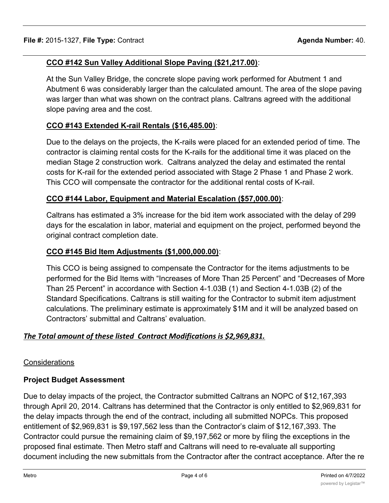# **CCO #142 Sun Valley Additional Slope Paving (\$21,217.00)**:

At the Sun Valley Bridge, the concrete slope paving work performed for Abutment 1 and Abutment 6 was considerably larger than the calculated amount. The area of the slope paving was larger than what was shown on the contract plans. Caltrans agreed with the additional slope paving area and the cost.

# **CCO #143 Extended K-rail Rentals (\$16,485.00)**:

Due to the delays on the projects, the K-rails were placed for an extended period of time. The contractor is claiming rental costs for the K-rails for the additional time it was placed on the median Stage 2 construction work. Caltrans analyzed the delay and estimated the rental costs for K-rail for the extended period associated with Stage 2 Phase 1 and Phase 2 work. This CCO will compensate the contractor for the additional rental costs of K-rail.

# **CCO #144 Labor, Equipment and Material Escalation (\$57,000.00)**:

Caltrans has estimated a 3% increase for the bid item work associated with the delay of 299 days for the escalation in labor, material and equipment on the project, performed beyond the original contract completion date.

# **CCO #145 Bid Item Adjustments (\$1,000,000.00)**:

This CCO is being assigned to compensate the Contractor for the items adjustments to be performed for the Bid Items with "Increases of More Than 25 Percent" and "Decreases of More Than 25 Percent" in accordance with Section 4-1.03B (1) and Section 4-1.03B (2) of the Standard Specifications. Caltrans is still waiting for the Contractor to submit item adjustment calculations. The preliminary estimate is approximately \$1M and it will be analyzed based on Contractors' submittal and Caltrans' evaluation.

# *The Total amount of these listed Contract Modifications is \$2,969,831.*

# **Considerations**

# **Project Budget Assessment**

Due to delay impacts of the project, the Contractor submitted Caltrans an NOPC of \$12,167,393 through April 20, 2014. Caltrans has determined that the Contractor is only entitled to \$2,969,831 for the delay impacts through the end of the contract, including all submitted NOPCs. This proposed entitlement of \$2,969,831 is \$9,197,562 less than the Contractor's claim of \$12,167,393. The Contractor could pursue the remaining claim of \$9,197,562 or more by filing the exceptions in the proposed final estimate. Then Metro staff and Caltrans will need to re-evaluate all supporting document including the new submittals from the Contractor after the contract acceptance. After the re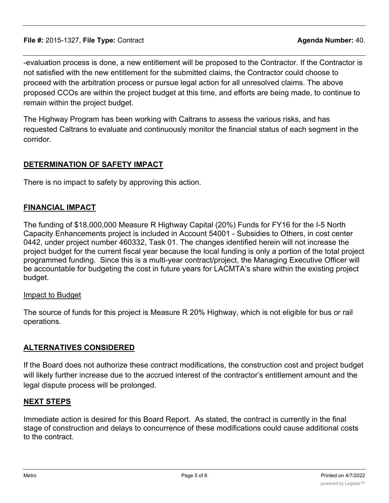-evaluation process is done, a new entitlement will be proposed to the Contractor. If the Contractor is not satisfied with the new entitlement for the submitted claims, the Contractor could choose to proceed with the arbitration process or pursue legal action for all unresolved claims. The above proposed CCOs are within the project budget at this time, and efforts are being made, to continue to remain within the project budget.

The Highway Program has been working with Caltrans to assess the various risks, and has requested Caltrans to evaluate and continuously monitor the financial status of each segment in the corridor.

# **DETERMINATION OF SAFETY IMPACT**

There is no impact to safety by approving this action.

# **FINANCIAL IMPACT**

The funding of \$18,000,000 Measure R Highway Capital (20%) Funds for FY16 for the I-5 North Capacity Enhancements project is included in Account 54001 - Subsidies to Others, in cost center 0442, under project number 460332, Task 01. The changes identified herein will not increase the project budget for the current fiscal year because the local funding is only a portion of the total project programmed funding. Since this is a multi-year contract/project, the Managing Executive Officer will be accountable for budgeting the cost in future years for LACMTA's share within the existing project budget.

# Impact to Budget

The source of funds for this project is Measure R 20% Highway, which is not eligible for bus or rail operations.

# **ALTERNATIVES CONSIDERED**

If the Board does not authorize these contract modifications, the construction cost and project budget will likely further increase due to the accrued interest of the contractor's entitlement amount and the legal dispute process will be prolonged.

# **NEXT STEPS**

Immediate action is desired for this Board Report. As stated, the contract is currently in the final stage of construction and delays to concurrence of these modifications could cause additional costs to the contract.